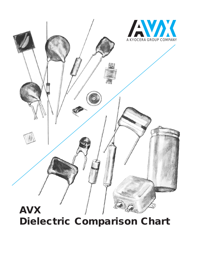

**Dielectric Comparison Chart**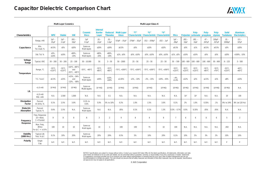# **Capacitor Dielectric Comparison Chart**

|                                 |                                                         |                                      | <b>Multi-Layer Ceramics</b>          |                                                                               |                                    | Multi-Layer Glass-K                        |                                     |                                    |                                                                                       |                                   |                                   |                                      |                                     |                                      |                                     |                                     |                                      |                                         |
|---------------------------------|---------------------------------------------------------|--------------------------------------|--------------------------------------|-------------------------------------------------------------------------------|------------------------------------|--------------------------------------------|-------------------------------------|------------------------------------|---------------------------------------------------------------------------------------|-----------------------------------|-----------------------------------|--------------------------------------|-------------------------------------|--------------------------------------|-------------------------------------|-------------------------------------|--------------------------------------|-----------------------------------------|
| Characteristics                 |                                                         | <b>NPO</b>                           | <b>Stable</b>                        | <b>HiK</b>                                                                    | Ceramic<br><b>Discs</b>            | <b>Internal</b><br><b>Barrier</b><br>Layer | <b>Reduced</b><br><b>Titanates</b>  | <b>Multi-Layer</b><br><b>Glass</b> | $^{\prime\prime}$ T $^{\prime\prime}$<br>Characteristic Characteristic Characteristic | $^{\prime\prime}$ U"              | ''V''                             | <b>Mica</b>                          |                                     | Poly-<br>Polyester carbonate         | Poly-<br>propylene                  | Poly-<br>styrene                    | <b>Solid</b><br><b>Tantalums</b>     | <b>Aluminum</b><br><b>Electrolytics</b> |
|                                 | Range, mfd                                              | $1pF -$<br>$.01 \mu F$               | $1pF -$<br>$2.2 \mu F$               | $.001 -$<br>$10\mu F$                                                         | 1pF<br>$0.1\mu F$                  | $.01 -$<br>$.22\mu F$                      | $.01 -$<br>$1.0 \mu F$              | $0.5pF - .01\mu F$                 | $270pF - .02\mu F$                                                                    | $.012 - .039 \mu F$               | $.022 - .1 \mu F$                 | $1pF -$<br>$.09\mu F$                | $.001 -$<br>10µF                    | $.001 -$<br>$10 \mu F$               | $47 -$<br>$.047\mu F$               | 100pF-<br>$.027\mu F$               | $.01 -$<br>1000µF                    | $0.5 -$<br>$106 \mu F$                  |
| Capacitance                     | Min.<br>Tol. Avail. %                                   | $\pm 0.5\%$                          | $\pm 5\%$                            | ±20%                                                                          | Same as<br>Multi-layers            | ±20%                                       | ±20%                                | ±0.5%                              | $\pm 5\%$                                                                             | ±10%                              | $\pm 10\%$                        | $\pm 0.5\%$                          | $\pm 5\%$                           | $\pm 1\%$                            | $\pm 0.5\%$                         | $\pm 0.5\%$                         | $\pm 5\%$                            | $\pm 20\%$                              |
|                                 | Std. Tol. %                                             | $±5%$ ,<br>$\pm 10\%$                | ±10%                                 | $+80%$<br>$-20%$                                                              | Same as<br>Multi-layers            | $+80%$<br>$-20%$                           | $+80%$<br>$-20%$                    | $±1\%$ , $±5\%$                    | $±5\%$ , $±10\%$                                                                      | $±5\%$ , $±10\%$                  | $±5\%$ , $±10\%$                  | $±1\%$ , $±5\%$                      | $\pm 10\%$                          | $\pm 10\%$                           | $\pm 5\%$                           | ±5%                                 | ±20%                                 | +100%, -10%                             |
| Voltage<br>Range                | Typical, VDC                                            | $50 - 200$                           | $50 - 200$                           | $25 - 100$                                                                    | $50 - 10,000$                      | 50                                         | $3 - 50$                            | $50 - 2000$                        | $25 - 50$                                                                             | $25 - 50$                         | $25 - 50$                         | $50 - 500$                           | $100 - 600$                         | $100 - 600$                          | $100 - 600$                         | $30 - 600$                          | $6 - 125$                            | $3 - 500$                               |
| Temperature                     | Range, °C                                               | $-55^{\circ}$ C,<br>$+125^{\circ}$ C | $-55^{\circ}$ C,<br>$+125^{\circ}$ C | +10 $^{\circ}$ C, +85 $^{\circ}$ C<br>and<br>$-55^{\circ}$ C, $+85^{\circ}$ C | -55 $^{\circ}$ C, +85 $^{\circ}$ C | $-55^{\circ}$ C,<br>$+85^{\circ}$ C        | $-55^{\circ}$ C,<br>$+85^{\circ}$ C | $-75^{\circ}$ C, $+200^{\circ}$ C  | $-75^{\circ}$ C, $+200^{\circ}$ C                                                     | $-75^{\circ}$ C, $+200^{\circ}$ C | $-75^{\circ}$ C, $+200^{\circ}$ C | $-55^{\circ}$ C,<br>$+125^{\circ}$ C | $-55^{\circ}$ C<br>$+125^{\circ}$ C | $-55^{\circ}$ C,<br>$+125^{\circ}$ C | $-55^{\circ}$ C,<br>$+85^{\circ}$ C | $-55^{\circ}$ C,<br>$+70^{\circ}$ C | $-55^{\circ}$ C,<br>$+125^{\circ}$ C | $-40^{\circ}$ C,<br>$+85^{\circ}$ C     |
|                                 | T.C. % $\Delta C$                                       | ±0.3%                                | $\pm 15\%$                           | $+22\%$ , $-56\%$<br>and<br>$-22\%$ , $-80\%$                                 | Same as<br>Multi-layers            | ±30%                                       | ±10%<br>±30%                        | ±1.65%                             | $+2\%$ , $-10\%$                                                                      | $-2\%$ , $-15\%$                  | $+20\%$ , $-45\%$                 | $-.4%$<br>$+1.8%$                    | $\pm 12\%$                          | $\pm 2\%$                            | ±2.5%                               | ±1%                                 | $\pm8\%$                             | $\pm 10\%$                              |
| I.R.                            | $<$ 1.0 mfd                                             | $10^5\,M\Omega$                      | 10 <sup>5</sup> MΩ                   | 10 <sup>4</sup> MΩ                                                            | Same as<br>Multi-layers            | 10 <sup>4</sup> MΩ                         | 10 $M\Omega$                        | 10 <sup>5</sup> MΩ                 | $10^4\,M\Omega$                                                                       | $10^4\,M\Omega$                   | 10 <sup>4</sup> MΩ                | $10^2 \text{M}\Omega$                | $10^4\,\text{M}\Omega$              | 10 <sup>5</sup> MΩ                   | $10^5\,M\Omega$                     | $10^6 \, M\Omega$                   | 10 <sup>2</sup> MΩ                   | N.A.                                    |
|                                 | $>1.0$ mfd<br>$M\Omega$ -mfd                            | N.A.                                 | 2,500                                | 1,000                                                                         | N.A.                               | N.A.                                       | 0.1                                 | N.A.                               | N.A.                                                                                  | N.A.                              | N.A.                              | N.A.                                 | 10 <sup>3</sup>                     | 10 <sup>4</sup>                      | N.A.                                | N.A.                                | 10                                   | 100                                     |
| <b>Dissipation</b><br>Factor    | Percent<br>At 1KHz, %                                   | 0.1%                                 | 2.5%                                 | 3.0%                                                                          | $0.1\%$ to<br>4.0%                 | 5.0%                                       | 5% to 10%                           | 0.2%                               | 1.0%                                                                                  | 1.5%                              | 3.0%                              | 0.1%                                 | 2%                                  | 1.0%                                 | 0.35%                               | .1%                                 | 8% to 24%                            | 8% (at 120 Hz)                          |
| Dielectric<br>Absorption        | Percent<br>Typical, %                                   | 0.6%                                 | 2.5%                                 | N.A.                                                                          | Same as<br>Multi-layers            | N.A.                                       | N.A.                                | .05%                               | 0.1%                                                                                  | 0.1%                              | 1.3%                              | $0.3\% - 0.7\%$                      | 0.5%                                | 0.35%                                | .05%                                | .05%                                | N.A.                                 | N.A.                                    |
| Frequency<br>Response           | Freq. Response<br>$10 = Best$ ,<br>$1 = \text{Poorest}$ | 9                                    | 8                                    | 8                                                                             | <sub>R</sub>                       | $\mathcal{R}$                              | $\overline{2}$                      | 9                                  | 8                                                                                     | 8                                 | 8                                 |                                      | 6                                   | 6                                    | 6                                   | 6                                   | $5^{\circ}$                          |                                         |
|                                 | Max. Freq.<br>(MHz)<br>For $\Delta C = \pm 10\%$        | 100                                  | 10                                   | 10 <sup>1</sup>                                                               | Same as<br>Multi-layers            | 10 <sup>°</sup>                            |                                     | 100                                | 100                                                                                   | 75                                | 10 <sup>°</sup>                   | 100                                  | N.A.                                | N.A.                                 | N.A.                                | N.A.                                | .002                                 | N.A.                                    |
| <b>Stability</b><br>(1000 Hrs.) | <b>Typical Life</b><br>Test, % $\Delta C$               | 0.1%                                 | 10%                                  | 20%                                                                           | Same as<br>Multi-layers            | 20%                                        | 20%                                 | 0.5%                               | 5%                                                                                    | 10%                               | 20%                               | 0.1%                                 | 10%                                 | $5\%$                                | 3%                                  | 2%                                  | 10%                                  | 10%                                     |
| Polarity                        | Single<br>Cap                                           | N.P.                                 | N.P.                                 | N.P.                                                                          | N.P.                               | N.P.                                       | N.P.                                | N.P.                               | N.P.                                                                                  | N.P.                              | N.P.                              | N.P.                                 | N.P.                                | N.P.                                 | N.P.                                | N.P.                                | P                                    | P                                       |

NOTICE: Specifications are subject to change without notice. Contact your nearest AVX Sales Office for the latest specifications. All statements, information and data given herein are believed to be accurate and reliable, but are presented without guarantee, warranty, or responsibility of any kind, expressed or implied. Statements<br>or suggestions concerning possible use of our products a recommendations to infringe any patent. The user should not assume that all safety measures are indicated or that other measures may not be required. Specifications are typical and may not apply to all applications.